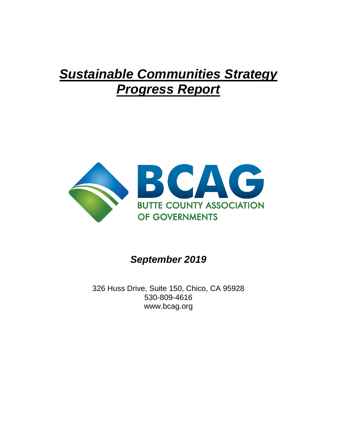# *Sustainable Communities Strategy Progress Report*



*September 2019*

326 Huss Drive, Suite 150, Chico, CA 95928 530-809-4616 www.bcag.org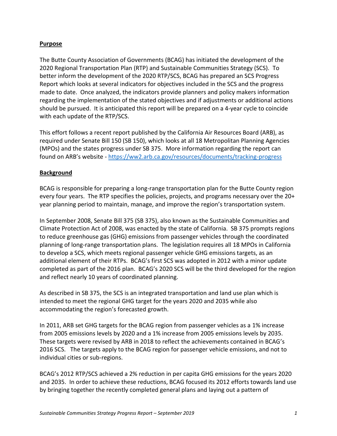# **Purpose**

The Butte County Association of Governments (BCAG) has initiated the development of the 2020 Regional Transportation Plan (RTP) and Sustainable Communities Strategy (SCS). To better inform the development of the 2020 RTP/SCS, BCAG has prepared an SCS Progress Report which looks at several indicators for objectives included in the SCS and the progress made to date. Once analyzed, the indicators provide planners and policy makers information regarding the implementation of the stated objectives and if adjustments or additional actions should be pursued. It is anticipated this report will be prepared on a 4-year cycle to coincide with each update of the RTP/SCS.

This effort follows a recent report published by the California Air Resources Board (ARB), as required under Senate Bill 150 (SB 150), which looks at all 18 Metropolitan Planning Agencies (MPOs) and the states progress under SB 375. More information regarding the report can found on ARB's website - <https://ww2.arb.ca.gov/resources/documents/tracking-progress>

# **Background**

BCAG is responsible for preparing a long-range transportation plan for the Butte County region every four years. The RTP specifies the policies, projects, and programs necessary over the 20+ year planning period to maintain, manage, and improve the region's transportation system.

In September 2008, Senate Bill 375 (SB 375), also known as the Sustainable Communities and Climate Protection Act of 2008, was enacted by the state of California. SB 375 prompts regions to reduce greenhouse gas (GHG) emissions from passenger vehicles through the coordinated planning of long-range transportation plans. The legislation requires all 18 MPOs in California to develop a SCS, which meets regional passenger vehicle GHG emissions targets, as an additional element of their RTPs. BCAG's first SCS was adopted in 2012 with a minor update completed as part of the 2016 plan. BCAG's 2020 SCS will be the third developed for the region and reflect nearly 10 years of coordinated planning.

As described in SB 375, the SCS is an integrated transportation and land use plan which is intended to meet the regional GHG target for the years 2020 and 2035 while also accommodating the region's forecasted growth.

In 2011, ARB set GHG targets for the BCAG region from passenger vehicles as a 1% increase from 2005 emissions levels by 2020 and a 1% increase from 2005 emissions levels by 2035. These targets were revised by ARB in 2018 to reflect the achievements contained in BCAG's 2016 SCS. The targets apply to the BCAG region for passenger vehicle emissions, and not to individual cities or sub-regions.

BCAG's 2012 RTP/SCS achieved a 2% reduction in per capita GHG emissions for the years 2020 and 2035. In order to achieve these reductions, BCAG focused its 2012 efforts towards land use by bringing together the recently completed general plans and laying out a pattern of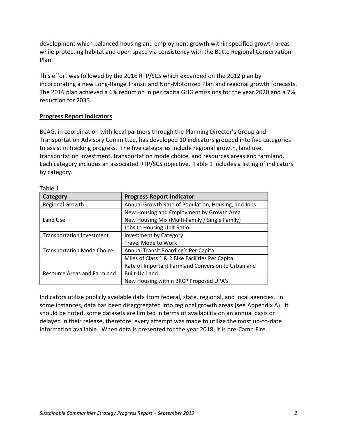development which balanced housing and employment growth within specified growth areas while protecting habitat and open space via consistency with the Butte Regional Conservation Plan.

This effort was followed by the 2016 RTP/SCS which expanded on the 2012 plan by incorporating a new Long-Range Transit and Non-Motorized Plan and regional growth forecasts. The 2016 plan achieved a 6% reduction in per capita GHG emissions for the year 2020 and a 7% reduction for 2035.

# **Progress Report Indicators**

BCAG, in coordination with local partners through the Planning Director's Group and Transportation Advisory Committee, has developed 10 indicators grouped into five categories to assist in tracking progress. The five categories include regional growth, land use, transportation investment, transportation mode choice, and resources areas and farmland. Each category includes an associated RTP/SCS objective. Table 1 includes a listing of indicators by category.

| Category                           | <b>Progress Report Indicator</b>                    |  |
|------------------------------------|-----------------------------------------------------|--|
| <b>Regional Growth</b>             | Annual Growth Rate of Population, Housing, and Jobs |  |
| Land Use                           | New Housing and Employment by Growth Area           |  |
|                                    | New Housing Mix (Multi-Family / Single Family)      |  |
|                                    | Jobs to Housing Unit Ratio                          |  |
| <b>Transportation Investment</b>   | <b>Investment by Category</b>                       |  |
| <b>Transportation Mode Choice</b>  | Travel Mode to Work                                 |  |
|                                    | Annual Transit Boarding's Per Capita                |  |
|                                    | Miles of Class 1 & 2 Bike Facilities Per Capita     |  |
|                                    | Rate of Important Farmland Conversion to Urban and  |  |
| <b>Resource Areas and Farmland</b> | <b>Built-Up Land</b>                                |  |
|                                    | New Housing within BRCP Proposed UPA's              |  |

Table 1.

Indicators utilize publicly available data from federal, state, regional, and local agencies. In some instances, data has been disaggregated into regional growth areas (see Appendix A). It should be noted, some datasets are limited in terms of availability on an annual basis or delayed in their release, therefore, every attempt was made to utilize the most up-to-date information available. When data is presented for the year 2018, it is pre-Camp Fire.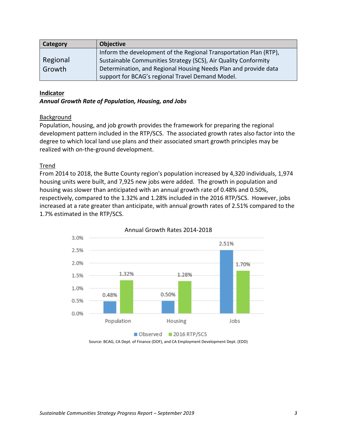| Category | <b>Objective</b>                                                  |
|----------|-------------------------------------------------------------------|
|          | Inform the development of the Regional Transportation Plan (RTP), |
| Regional | Sustainable Communities Strategy (SCS), Air Quality Conformity    |
| Growth   | Determination, and Regional Housing Needs Plan and provide data   |
|          | support for BCAG's regional Travel Demand Model.                  |

#### **Indicator**

#### *Annual Growth Rate of Population, Housing, and Jobs*

#### Background

Population, housing, and job growth provides the framework for preparing the regional development pattern included in the RTP/SCS. The associated growth rates also factor into the degree to which local land use plans and their associated smart growth principles may be realized with on-the-ground development.

# Trend

From 2014 to 2018, the Butte County region's population increased by 4,320 individuals, 1,974 housing units were built, and 7,925 new jobs were added. The growth in population and housing was slower than anticipated with an annual growth rate of 0.48% and 0.50%, respectively, compared to the 1.32% and 1.28% included in the 2016 RTP/SCS. However, jobs increased at a rate greater than anticipate, with annual growth rates of 2.51% compared to the 1.7% estimated in the RTP/SCS.





Source: BCAG, CA Dept. of Finance (DOF), and CA Employment Development Dept. (EDD)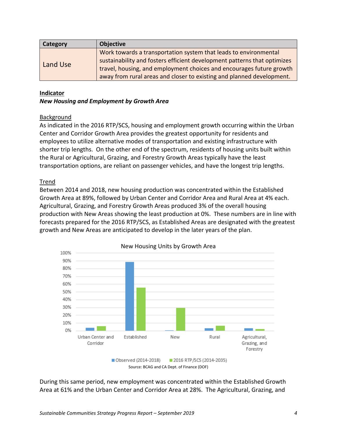| <b>Category</b> | <b>Objective</b>                                                         |
|-----------------|--------------------------------------------------------------------------|
| Land Use        | Work towards a transportation system that leads to environmental         |
|                 | sustainability and fosters efficient development patterns that optimizes |
|                 | travel, housing, and employment choices and encourages future growth     |
|                 | away from rural areas and closer to existing and planned development.    |

#### **Indicator**

#### *New Housing and Employment by Growth Area*

# Background

As indicated in the 2016 RTP/SCS, housing and employment growth occurring within the Urban Center and Corridor Growth Area provides the greatest opportunity for residents and employees to utilize alternative modes of transportation and existing infrastructure with shorter trip lengths. On the other end of the spectrum, residents of housing units built within the Rural or Agricultural, Grazing, and Forestry Growth Areas typically have the least transportation options, are reliant on passenger vehicles, and have the longest trip lengths.

# Trend

Between 2014 and 2018, new housing production was concentrated within the Established Growth Area at 89%, followed by Urban Center and Corridor Area and Rural Area at 4% each. Agricultural, Grazing, and Forestry Growth Areas produced 3% of the overall housing production with New Areas showing the least production at 0%. These numbers are in line with forecasts prepared for the 2016 RTP/SCS, as Established Areas are designated with the greatest growth and New Areas are anticipated to develop in the later years of the plan.



During this same period, new employment was concentrated within the Established Growth Area at 61% and the Urban Center and Corridor Area at 28%. The Agricultural, Grazing, and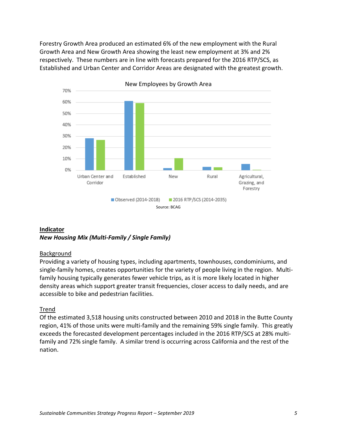Forestry Growth Area produced an estimated 6% of the new employment with the Rural Growth Area and New Growth Area showing the least new employment at 3% and 2% respectively. These numbers are in line with forecasts prepared for the 2016 RTP/SCS, as Established and Urban Center and Corridor Areas are designated with the greatest growth.





#### Source: BCAG

# **Indicator** *New Housing Mix (Multi-Family / Single Family)*

# Background

Providing a variety of housing types, including apartments, townhouses, condominiums, and single-family homes, creates opportunities for the variety of people living in the region. Multifamily housing typically generates fewer vehicle trips, as it is more likely located in higher density areas which support greater transit frequencies, closer access to daily needs, and are accessible to bike and pedestrian facilities.

# Trend

Of the estimated 3,518 housing units constructed between 2010 and 2018 in the Butte County region, 41% of those units were multi-family and the remaining 59% single family. This greatly exceeds the forecasted development percentages included in the 2016 RTP/SCS at 28% multifamily and 72% single family. A similar trend is occurring across California and the rest of the nation.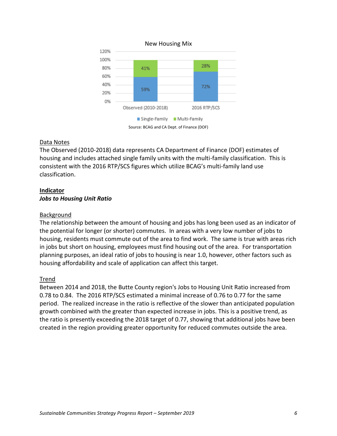

# Data Notes

The Observed (2010-2018) data represents CA Department of Finance (DOF) estimates of housing and includes attached single family units with the multi-family classification. This is consistent with the 2016 RTP/SCS figures which utilize BCAG's multi-family land use classification.

# **Indicator**

# *Jobs to Housing Unit Ratio*

# Background

The relationship between the amount of housing and jobs has long been used as an indicator of the potential for longer (or shorter) commutes. In areas with a very low number of jobs to housing, residents must commute out of the area to find work. The same is true with areas rich in jobs but short on housing, employees must find housing out of the area. For transportation planning purposes, an ideal ratio of jobs to housing is near 1.0, however, other factors such as housing affordability and scale of application can affect this target.

# Trend

Between 2014 and 2018, the Butte County region's Jobs to Housing Unit Ratio increased from 0.78 to 0.84. The 2016 RTP/SCS estimated a minimal increase of 0.76 to 0.77 for the same period. The realized increase in the ratio is reflective of the slower than anticipated population growth combined with the greater than expected increase in jobs. This is a positive trend, as the ratio is presently exceeding the 2018 target of 0.77, showing that additional jobs have been created in the region providing greater opportunity for reduced commutes outside the area.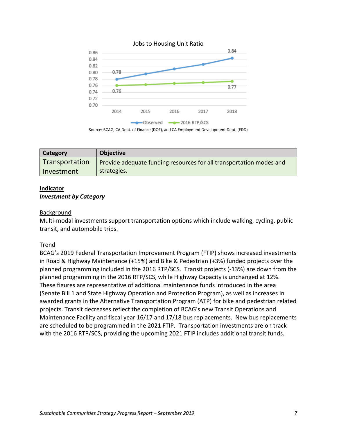

Jobs to Housing Unit Ratio

Source: BCAG, CA Dept. of Finance (DOF), and CA Employment Development Dept. (EDD)

| Category       | <b>Objective</b>                                                    |
|----------------|---------------------------------------------------------------------|
| Transportation | Provide adequate funding resources for all transportation modes and |
| Investment     | strategies.                                                         |

# **Indicator**

#### *Investment by Category*

#### Background

Multi-modal investments support transportation options which include walking, cycling, public transit, and automobile trips.

# Trend

BCAG's 2019 Federal Transportation Improvement Program (FTIP) shows increased investments in Road & Highway Maintenance (+15%) and Bike & Pedestrian (+3%) funded projects over the planned programming included in the 2016 RTP/SCS. Transit projects (-13%) are down from the planned programming in the 2016 RTP/SCS, while Highway Capacity is unchanged at 12%. These figures are representative of additional maintenance funds introduced in the area (Senate Bill 1 and State Highway Operation and Protection Program), as well as increases in awarded grants in the Alternative Transportation Program (ATP) for bike and pedestrian related projects. Transit decreases reflect the completion of BCAG's new Transit Operations and Maintenance Facility and fiscal year 16/17 and 17/18 bus replacements. New bus replacements are scheduled to be programmed in the 2021 FTIP. Transportation investments are on track with the 2016 RTP/SCS, providing the upcoming 2021 FTIP includes additional transit funds.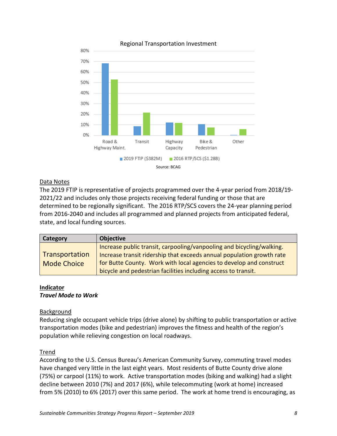

#### Regional Transportation Investment

# Data Notes

The 2019 FTIP is representative of projects programmed over the 4-year period from 2018/19- 2021/22 and includes only those projects receiving federal funding or those that are determined to be regionally significant. The 2016 RTP/SCS covers the 24-year planning period from 2016-2040 and includes all programmed and planned projects from anticipated federal, state, and local funding sources.

| Category                             | <b>Objective</b>                                                                                                                                                                                                      |
|--------------------------------------|-----------------------------------------------------------------------------------------------------------------------------------------------------------------------------------------------------------------------|
| Transportation<br><b>Mode Choice</b> | Increase public transit, carpooling/vanpooling and bicycling/walking.<br>Increase transit ridership that exceeds annual population growth rate<br>for Butte County. Work with local agencies to develop and construct |
|                                      | bicycle and pedestrian facilities including access to transit.                                                                                                                                                        |

#### **Indicator** *Travel Mode to Work*

# Background

Reducing single occupant vehicle trips (drive alone) by shifting to public transportation or active transportation modes (bike and pedestrian) improves the fitness and health of the region's population while relieving congestion on local roadways.

# Trend

According to the U.S. Census Bureau's American Community Survey, commuting travel modes have changed very little in the last eight years. Most residents of Butte County drive alone (75%) or carpool (11%) to work. Active transportation modes (biking and walking) had a slight decline between 2010 (7%) and 2017 (6%), while telecommuting (work at home) increased from 5% (2010) to 6% (2017) over this same period. The work at home trend is encouraging, as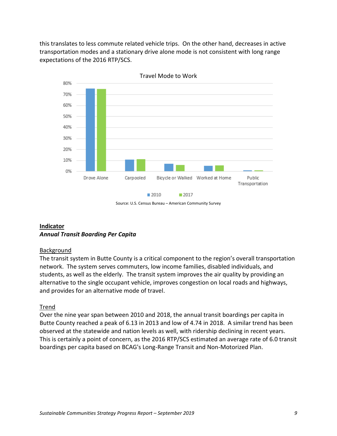this translates to less commute related vehicle trips. On the other hand, decreases in active transportation modes and a stationary drive alone mode is not consistent with long range expectations of the 2016 RTP/SCS.



Source: U.S. Census Bureau – American Community Survey

# **Indicator** *Annual Transit Boarding Per Capita*

# Background

The transit system in Butte County is a critical component to the region's overall transportation network. The system serves commuters, low income families, disabled individuals, and students, as well as the elderly. The transit system improves the air quality by providing an alternative to the single occupant vehicle, improves congestion on local roads and highways, and provides for an alternative mode of travel.

# Trend

Over the nine year span between 2010 and 2018, the annual transit boardings per capita in Butte County reached a peak of 6.13 in 2013 and low of 4.74 in 2018. A similar trend has been observed at the statewide and nation levels as well, with ridership declining in recent years. This is certainly a point of concern, as the 2016 RTP/SCS estimated an average rate of 6.0 transit boardings per capita based on BCAG's Long-Range Transit and Non-Motorized Plan.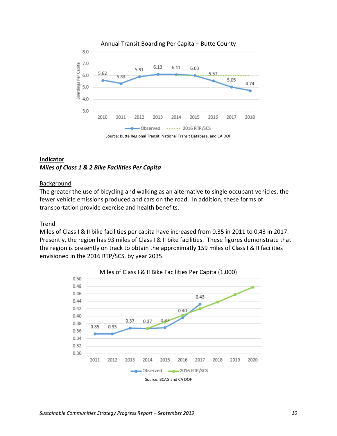

# **Indicator** *Miles of Class 1 & 2 Bike Facilities Per Capita*

# Background

The greater the use of bicycling and walking as an alternative to single occupant vehicles, the fewer vehicle emissions produced and cars on the road. In addition, these forms of transportation provide exercise and health benefits.

# **Trend**

Miles of Class I & II bike facilities per capita have increased from 0.35 in 2011 to 0.43 in 2017. Presently, the region has 93 miles of Class I & II bike facilities. These figures demonstrate that the region is presently on track to obtain the approximatly 159 miles of Class I & II facilities envisioned in the 2016 RTP/SCS, by year 2035.

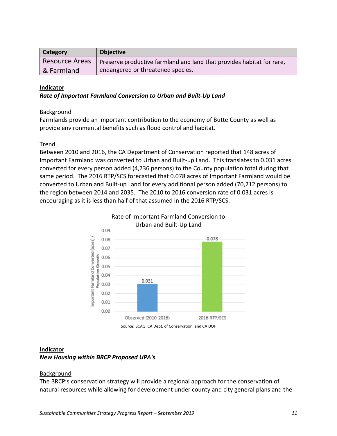| <b>Category</b> | <b>Objective</b>                                                      |
|-----------------|-----------------------------------------------------------------------|
| Resource Areas  | Preserve productive farmland and land that provides habitat for rare, |
| & Farmland      | endangered or threatened species.                                     |

#### **Indicator**

#### *Rate of Important Farmland Conversion to Urban and Built-Up Land*

#### Background

Farmlands provide an important contribution to the economy of Butte County as well as provide environmental benefits such as flood control and habitat.

#### Trend

Between 2010 and 2016, the CA Department of Conservation reported that 148 acres of Important Farmland was converted to Urban and Built-up Land. This translates to 0.031 acres converted for every person added (4,736 persons) to the County population total during that same period. The 2016 RTP/SCS forecasted that 0.078 acres of Important Farmland would be converted to Urban and Built-up Land for every additional person added (70,212 persons) to the region between 2014 and 2035. The 2010 to 2016 conversion rate of 0.031 acres is encouraging as it is less than half of that assumed in the 2016 RTP/SCS.



# **Indicator**

# *New Housing within BRCP Proposed UPA's*

#### Background

The BRCP's conservation strategy will provide a regional approach for the conservation of natural resources while allowing for development under county and city general plans and the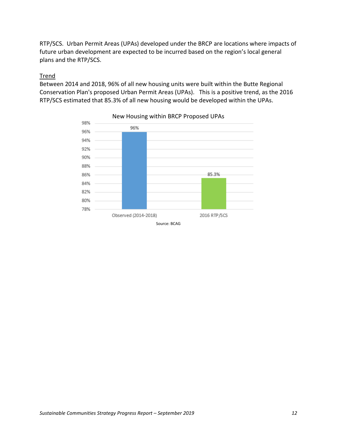RTP/SCS. Urban Permit Areas (UPAs) developed under the BRCP are locations where impacts of future urban development are expected to be incurred based on the region's local general plans and the RTP/SCS.

# Trend

Between 2014 and 2018, 96% of all new housing units were built within the Butte Regional Conservation Plan's proposed Urban Permit Areas (UPAs). This is a positive trend, as the 2016 RTP/SCS estimated that 85.3% of all new housing would be developed within the UPAs.



New Housing within BRCP Proposed UPAs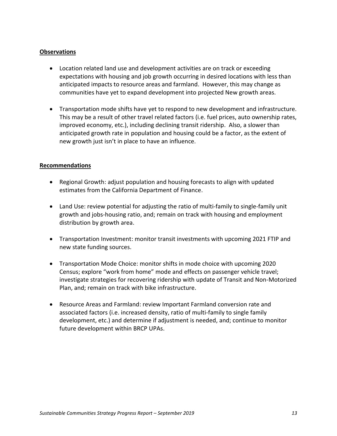# **Observations**

- Location related land use and development activities are on track or exceeding expectations with housing and job growth occurring in desired locations with less than anticipated impacts to resource areas and farmland. However, this may change as communities have yet to expand development into projected New growth areas.
- Transportation mode shifts have yet to respond to new development and infrastructure. This may be a result of other travel related factors (i.e. fuel prices, auto ownership rates, improved economy, etc.), including declining transit ridership. Also, a slower than anticipated growth rate in population and housing could be a factor, as the extent of new growth just isn't in place to have an influence.

#### **Recommendations**

- Regional Growth: adjust population and housing forecasts to align with updated estimates from the California Department of Finance.
- Land Use: review potential for adjusting the ratio of multi-family to single-family unit growth and jobs-housing ratio, and; remain on track with housing and employment distribution by growth area.
- Transportation Investment: monitor transit investments with upcoming 2021 FTIP and new state funding sources.
- Transportation Mode Choice: monitor shifts in mode choice with upcoming 2020 Census; explore "work from home" mode and effects on passenger vehicle travel; investigate strategies for recovering ridership with update of Transit and Non-Motorized Plan, and; remain on track with bike infrastructure.
- Resource Areas and Farmland: review Important Farmland conversion rate and associated factors (i.e. increased density, ratio of multi-family to single family development, etc.) and determine if adjustment is needed, and; continue to monitor future development within BRCP UPAs.